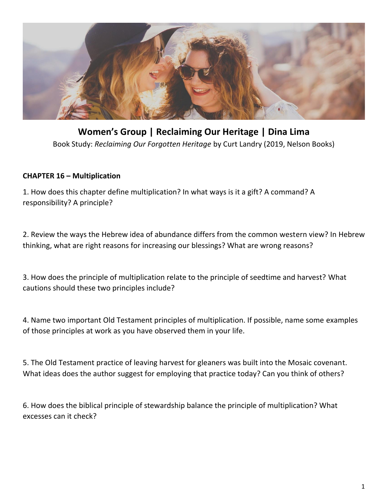

**Women's Group | Reclaiming Our Heritage | Dina Lima** Book Study: *Reclaiming Our Forgotten Heritage* by Curt Landry (2019, Nelson Books)

## **CHAPTER 16 – Multiplication**

1. How does this chapter define multiplication? In what ways is it a gift? A command? A responsibility? A principle?

2. Review the ways the Hebrew idea of abundance differs from the common western view? In Hebrew thinking, what are right reasons for increasing our blessings? What are wrong reasons?

3. How does the principle of multiplication relate to the principle of seedtime and harvest? What cautions should these two principles include?

4. Name two important Old Testament principles of multiplication. If possible, name some examples of those principles at work as you have observed them in your life.

5. The Old Testament practice of leaving harvest for gleaners was built into the Mosaic covenant. What ideas does the author suggest for employing that practice today? Can you think of others?

6. How does the biblical principle of stewardship balance the principle of multiplication? What excesses can it check?